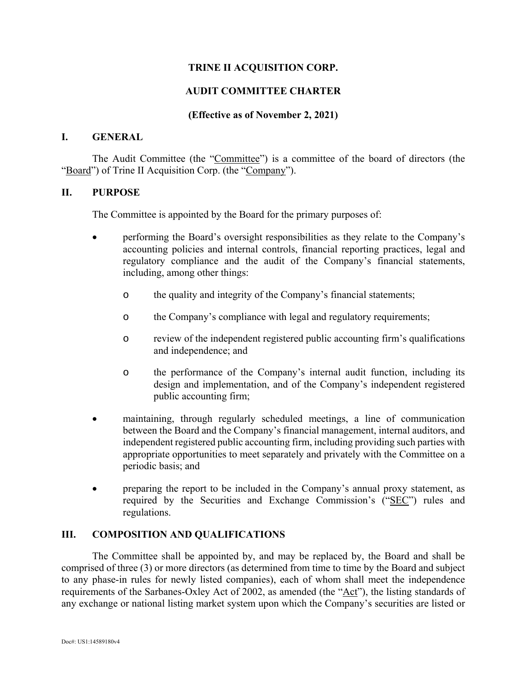## **TRINE II ACQUISITION CORP.**

## **AUDIT COMMITTEE CHARTER**

### **(Effective as of November 2, 2021)**

### **I. GENERAL**

The Audit Committee (the "Committee") is a committee of the board of directors (the "Board") of Trine II Acquisition Corp. (the "Company").

#### **II. PURPOSE**

The Committee is appointed by the Board for the primary purposes of:

- performing the Board's oversight responsibilities as they relate to the Company's accounting policies and internal controls, financial reporting practices, legal and regulatory compliance and the audit of the Company's financial statements, including, among other things:
	- o the quality and integrity of the Company's financial statements;
	- o the Company's compliance with legal and regulatory requirements;
	- o review of the independent registered public accounting firm's qualifications and independence; and
	- o the performance of the Company's internal audit function, including its design and implementation, and of the Company's independent registered public accounting firm;
- maintaining, through regularly scheduled meetings, a line of communication between the Board and the Company's financial management, internal auditors, and independent registered public accounting firm, including providing such parties with appropriate opportunities to meet separately and privately with the Committee on a periodic basis; and
- preparing the report to be included in the Company's annual proxy statement, as required by the Securities and Exchange Commission's ("SEC") rules and regulations.

#### **III. COMPOSITION AND QUALIFICATIONS**

The Committee shall be appointed by, and may be replaced by, the Board and shall be comprised of three (3) or more directors (as determined from time to time by the Board and subject to any phase-in rules for newly listed companies), each of whom shall meet the independence requirements of the Sarbanes-Oxley Act of 2002, as amended (the "Act"), the listing standards of any exchange or national listing market system upon which the Company's securities are listed or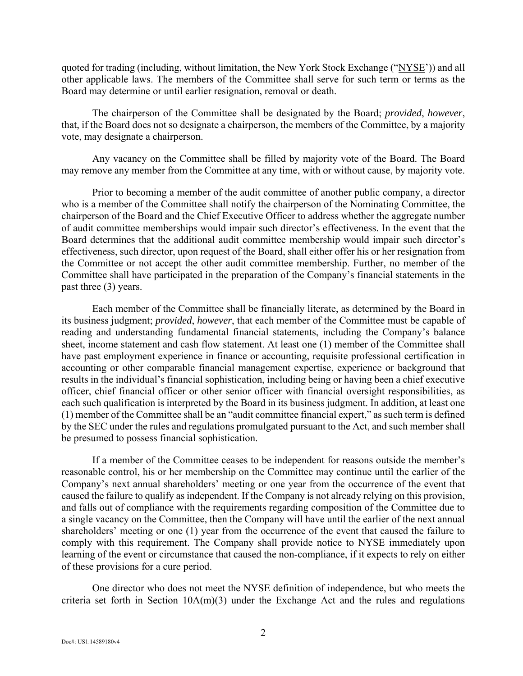quoted for trading (including, without limitation, the New York Stock Exchange ("NYSE')) and all other applicable laws. The members of the Committee shall serve for such term or terms as the Board may determine or until earlier resignation, removal or death.

The chairperson of the Committee shall be designated by the Board; *provided*, *however*, that, if the Board does not so designate a chairperson, the members of the Committee, by a majority vote, may designate a chairperson.

Any vacancy on the Committee shall be filled by majority vote of the Board. The Board may remove any member from the Committee at any time, with or without cause, by majority vote.

Prior to becoming a member of the audit committee of another public company, a director who is a member of the Committee shall notify the chairperson of the Nominating Committee, the chairperson of the Board and the Chief Executive Officer to address whether the aggregate number of audit committee memberships would impair such director's effectiveness. In the event that the Board determines that the additional audit committee membership would impair such director's effectiveness, such director, upon request of the Board, shall either offer his or her resignation from the Committee or not accept the other audit committee membership. Further, no member of the Committee shall have participated in the preparation of the Company's financial statements in the past three (3) years.

Each member of the Committee shall be financially literate, as determined by the Board in its business judgment; *provided*, *however*, that each member of the Committee must be capable of reading and understanding fundamental financial statements, including the Company's balance sheet, income statement and cash flow statement. At least one (1) member of the Committee shall have past employment experience in finance or accounting, requisite professional certification in accounting or other comparable financial management expertise, experience or background that results in the individual's financial sophistication, including being or having been a chief executive officer, chief financial officer or other senior officer with financial oversight responsibilities, as each such qualification is interpreted by the Board in its business judgment. In addition, at least one (1) member of the Committee shall be an "audit committee financial expert," as such term is defined by the SEC under the rules and regulations promulgated pursuant to the Act, and such member shall be presumed to possess financial sophistication.

If a member of the Committee ceases to be independent for reasons outside the member's reasonable control, his or her membership on the Committee may continue until the earlier of the Company's next annual shareholders' meeting or one year from the occurrence of the event that caused the failure to qualify as independent. If the Company is not already relying on this provision, and falls out of compliance with the requirements regarding composition of the Committee due to a single vacancy on the Committee, then the Company will have until the earlier of the next annual shareholders' meeting or one (1) year from the occurrence of the event that caused the failure to comply with this requirement. The Company shall provide notice to NYSE immediately upon learning of the event or circumstance that caused the non-compliance, if it expects to rely on either of these provisions for a cure period.

One director who does not meet the NYSE definition of independence, but who meets the criteria set forth in Section  $10A(m)(3)$  under the Exchange Act and the rules and regulations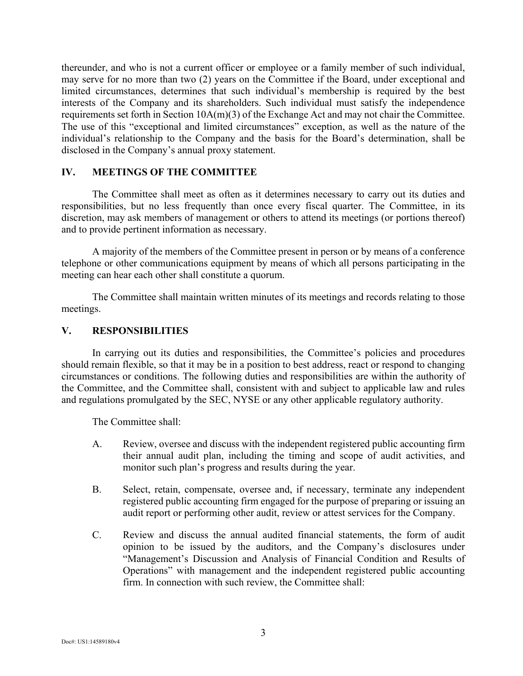thereunder, and who is not a current officer or employee or a family member of such individual, may serve for no more than two (2) years on the Committee if the Board, under exceptional and limited circumstances, determines that such individual's membership is required by the best interests of the Company and its shareholders. Such individual must satisfy the independence requirements set forth in Section 10A(m)(3) of the Exchange Act and may not chair the Committee. The use of this "exceptional and limited circumstances" exception, as well as the nature of the individual's relationship to the Company and the basis for the Board's determination, shall be disclosed in the Company's annual proxy statement.

### **IV. MEETINGS OF THE COMMITTEE**

The Committee shall meet as often as it determines necessary to carry out its duties and responsibilities, but no less frequently than once every fiscal quarter. The Committee, in its discretion, may ask members of management or others to attend its meetings (or portions thereof) and to provide pertinent information as necessary.

A majority of the members of the Committee present in person or by means of a conference telephone or other communications equipment by means of which all persons participating in the meeting can hear each other shall constitute a quorum.

The Committee shall maintain written minutes of its meetings and records relating to those meetings.

### **V. RESPONSIBILITIES**

In carrying out its duties and responsibilities, the Committee's policies and procedures should remain flexible, so that it may be in a position to best address, react or respond to changing circumstances or conditions. The following duties and responsibilities are within the authority of the Committee, and the Committee shall, consistent with and subject to applicable law and rules and regulations promulgated by the SEC, NYSE or any other applicable regulatory authority.

The Committee shall:

- A. Review, oversee and discuss with the independent registered public accounting firm their annual audit plan, including the timing and scope of audit activities, and monitor such plan's progress and results during the year.
- B. Select, retain, compensate, oversee and, if necessary, terminate any independent registered public accounting firm engaged for the purpose of preparing or issuing an audit report or performing other audit, review or attest services for the Company.
- C. Review and discuss the annual audited financial statements, the form of audit opinion to be issued by the auditors, and the Company's disclosures under "Management's Discussion and Analysis of Financial Condition and Results of Operations" with management and the independent registered public accounting firm. In connection with such review, the Committee shall: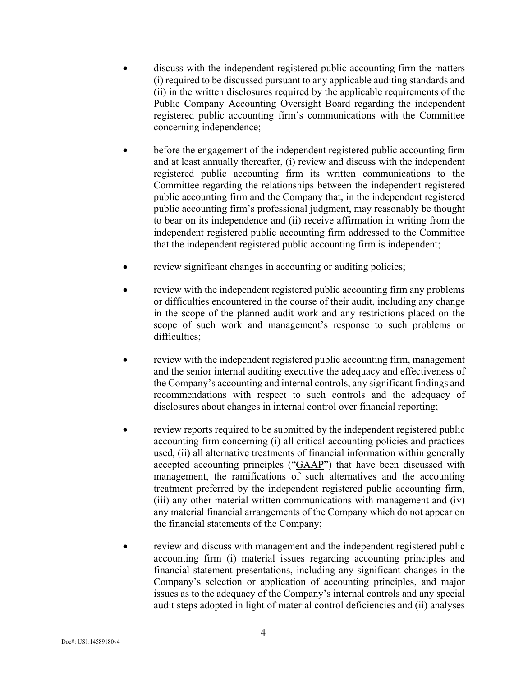- discuss with the independent registered public accounting firm the matters (i) required to be discussed pursuant to any applicable auditing standards and (ii) in the written disclosures required by the applicable requirements of the Public Company Accounting Oversight Board regarding the independent registered public accounting firm's communications with the Committee concerning independence;
- before the engagement of the independent registered public accounting firm and at least annually thereafter, (i) review and discuss with the independent registered public accounting firm its written communications to the Committee regarding the relationships between the independent registered public accounting firm and the Company that, in the independent registered public accounting firm's professional judgment, may reasonably be thought to bear on its independence and (ii) receive affirmation in writing from the independent registered public accounting firm addressed to the Committee that the independent registered public accounting firm is independent;
- review significant changes in accounting or auditing policies;
- review with the independent registered public accounting firm any problems or difficulties encountered in the course of their audit, including any change in the scope of the planned audit work and any restrictions placed on the scope of such work and management's response to such problems or difficulties;
- review with the independent registered public accounting firm, management and the senior internal auditing executive the adequacy and effectiveness of the Company's accounting and internal controls, any significant findings and recommendations with respect to such controls and the adequacy of disclosures about changes in internal control over financial reporting;
- review reports required to be submitted by the independent registered public accounting firm concerning (i) all critical accounting policies and practices used, (ii) all alternative treatments of financial information within generally accepted accounting principles ("GAAP") that have been discussed with management, the ramifications of such alternatives and the accounting treatment preferred by the independent registered public accounting firm, (iii) any other material written communications with management and (iv) any material financial arrangements of the Company which do not appear on the financial statements of the Company;
- review and discuss with management and the independent registered public accounting firm (i) material issues regarding accounting principles and financial statement presentations, including any significant changes in the Company's selection or application of accounting principles, and major issues as to the adequacy of the Company's internal controls and any special audit steps adopted in light of material control deficiencies and (ii) analyses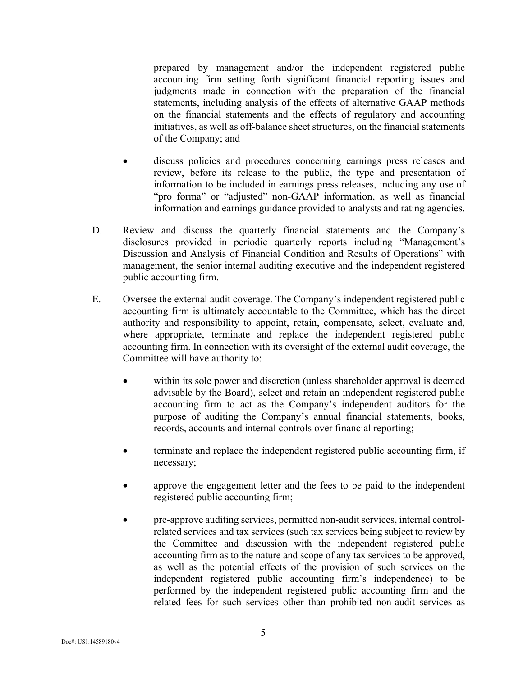prepared by management and/or the independent registered public accounting firm setting forth significant financial reporting issues and judgments made in connection with the preparation of the financial statements, including analysis of the effects of alternative GAAP methods on the financial statements and the effects of regulatory and accounting initiatives, as well as off-balance sheet structures, on the financial statements of the Company; and

- discuss policies and procedures concerning earnings press releases and review, before its release to the public, the type and presentation of information to be included in earnings press releases, including any use of "pro forma" or "adjusted" non-GAAP information, as well as financial information and earnings guidance provided to analysts and rating agencies.
- D. Review and discuss the quarterly financial statements and the Company's disclosures provided in periodic quarterly reports including "Management's Discussion and Analysis of Financial Condition and Results of Operations" with management, the senior internal auditing executive and the independent registered public accounting firm.
- E. Oversee the external audit coverage. The Company's independent registered public accounting firm is ultimately accountable to the Committee, which has the direct authority and responsibility to appoint, retain, compensate, select, evaluate and, where appropriate, terminate and replace the independent registered public accounting firm. In connection with its oversight of the external audit coverage, the Committee will have authority to:
	- within its sole power and discretion (unless shareholder approval is deemed advisable by the Board), select and retain an independent registered public accounting firm to act as the Company's independent auditors for the purpose of auditing the Company's annual financial statements, books, records, accounts and internal controls over financial reporting;
	- terminate and replace the independent registered public accounting firm, if necessary;
	- approve the engagement letter and the fees to be paid to the independent registered public accounting firm;
	- pre-approve auditing services, permitted non-audit services, internal controlrelated services and tax services (such tax services being subject to review by the Committee and discussion with the independent registered public accounting firm as to the nature and scope of any tax services to be approved, as well as the potential effects of the provision of such services on the independent registered public accounting firm's independence) to be performed by the independent registered public accounting firm and the related fees for such services other than prohibited non-audit services as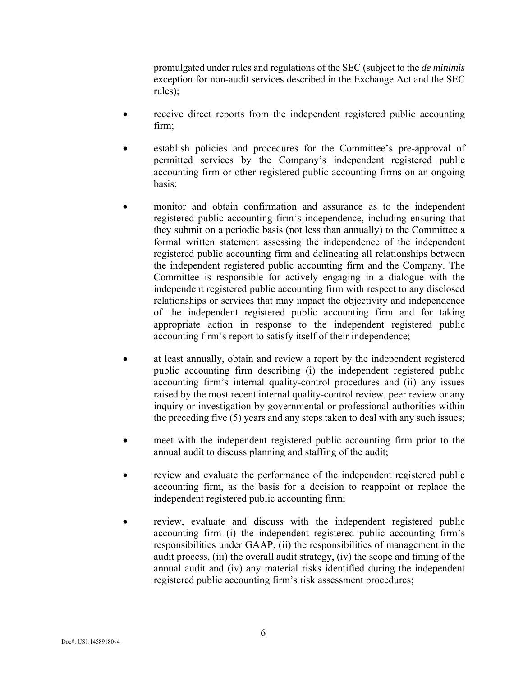promulgated under rules and regulations of the SEC (subject to the *de minimis*  exception for non-audit services described in the Exchange Act and the SEC rules);

- receive direct reports from the independent registered public accounting firm;
- establish policies and procedures for the Committee's pre-approval of permitted services by the Company's independent registered public accounting firm or other registered public accounting firms on an ongoing basis;
- monitor and obtain confirmation and assurance as to the independent registered public accounting firm's independence, including ensuring that they submit on a periodic basis (not less than annually) to the Committee a formal written statement assessing the independence of the independent registered public accounting firm and delineating all relationships between the independent registered public accounting firm and the Company. The Committee is responsible for actively engaging in a dialogue with the independent registered public accounting firm with respect to any disclosed relationships or services that may impact the objectivity and independence of the independent registered public accounting firm and for taking appropriate action in response to the independent registered public accounting firm's report to satisfy itself of their independence;
- at least annually, obtain and review a report by the independent registered public accounting firm describing (i) the independent registered public accounting firm's internal quality-control procedures and (ii) any issues raised by the most recent internal quality-control review, peer review or any inquiry or investigation by governmental or professional authorities within the preceding five (5) years and any steps taken to deal with any such issues;
- meet with the independent registered public accounting firm prior to the annual audit to discuss planning and staffing of the audit;
- review and evaluate the performance of the independent registered public accounting firm, as the basis for a decision to reappoint or replace the independent registered public accounting firm;
- review, evaluate and discuss with the independent registered public accounting firm (i) the independent registered public accounting firm's responsibilities under GAAP, (ii) the responsibilities of management in the audit process, (iii) the overall audit strategy, (iv) the scope and timing of the annual audit and (iv) any material risks identified during the independent registered public accounting firm's risk assessment procedures;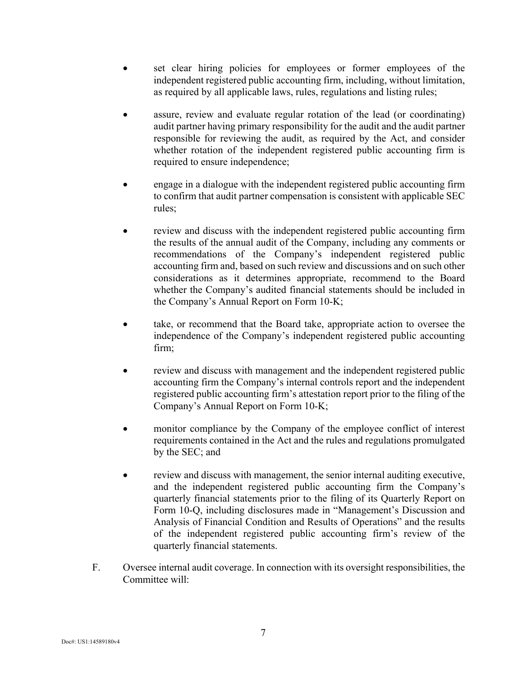- set clear hiring policies for employees or former employees of the independent registered public accounting firm, including, without limitation, as required by all applicable laws, rules, regulations and listing rules;
- assure, review and evaluate regular rotation of the lead (or coordinating) audit partner having primary responsibility for the audit and the audit partner responsible for reviewing the audit, as required by the Act, and consider whether rotation of the independent registered public accounting firm is required to ensure independence;
- engage in a dialogue with the independent registered public accounting firm to confirm that audit partner compensation is consistent with applicable SEC rules;
- review and discuss with the independent registered public accounting firm the results of the annual audit of the Company, including any comments or recommendations of the Company's independent registered public accounting firm and, based on such review and discussions and on such other considerations as it determines appropriate, recommend to the Board whether the Company's audited financial statements should be included in the Company's Annual Report on Form 10-K;
- take, or recommend that the Board take, appropriate action to oversee the independence of the Company's independent registered public accounting firm;
- review and discuss with management and the independent registered public accounting firm the Company's internal controls report and the independent registered public accounting firm's attestation report prior to the filing of the Company's Annual Report on Form 10-K;
- monitor compliance by the Company of the employee conflict of interest requirements contained in the Act and the rules and regulations promulgated by the SEC; and
- review and discuss with management, the senior internal auditing executive, and the independent registered public accounting firm the Company's quarterly financial statements prior to the filing of its Quarterly Report on Form 10-Q, including disclosures made in "Management's Discussion and Analysis of Financial Condition and Results of Operations" and the results of the independent registered public accounting firm's review of the quarterly financial statements.
- F. Oversee internal audit coverage. In connection with its oversight responsibilities, the Committee will: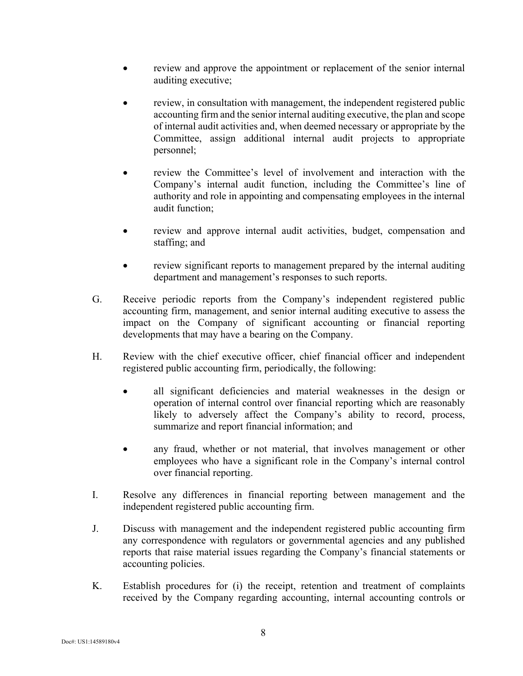- review and approve the appointment or replacement of the senior internal auditing executive;
- review, in consultation with management, the independent registered public accounting firm and the senior internal auditing executive, the plan and scope of internal audit activities and, when deemed necessary or appropriate by the Committee, assign additional internal audit projects to appropriate personnel;
- review the Committee's level of involvement and interaction with the Company's internal audit function, including the Committee's line of authority and role in appointing and compensating employees in the internal audit function;
- review and approve internal audit activities, budget, compensation and staffing; and
- review significant reports to management prepared by the internal auditing department and management's responses to such reports.
- G. Receive periodic reports from the Company's independent registered public accounting firm, management, and senior internal auditing executive to assess the impact on the Company of significant accounting or financial reporting developments that may have a bearing on the Company.
- H. Review with the chief executive officer, chief financial officer and independent registered public accounting firm, periodically, the following:
	- all significant deficiencies and material weaknesses in the design or operation of internal control over financial reporting which are reasonably likely to adversely affect the Company's ability to record, process, summarize and report financial information; and
	- any fraud, whether or not material, that involves management or other employees who have a significant role in the Company's internal control over financial reporting.
- I. Resolve any differences in financial reporting between management and the independent registered public accounting firm.
- J. Discuss with management and the independent registered public accounting firm any correspondence with regulators or governmental agencies and any published reports that raise material issues regarding the Company's financial statements or accounting policies.
- K. Establish procedures for (i) the receipt, retention and treatment of complaints received by the Company regarding accounting, internal accounting controls or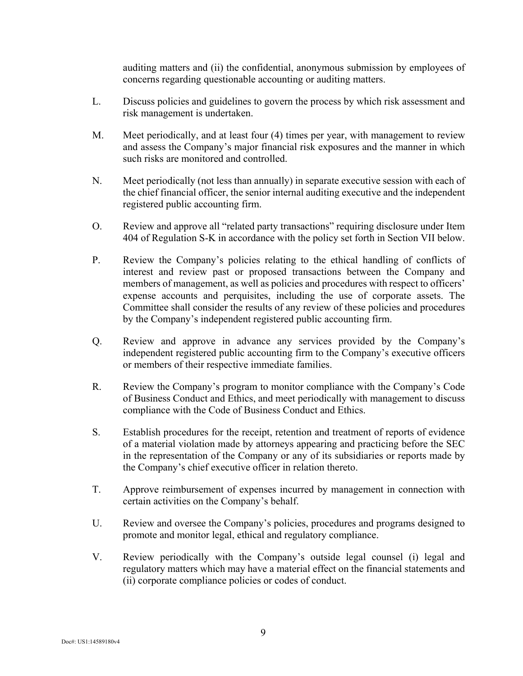auditing matters and (ii) the confidential, anonymous submission by employees of concerns regarding questionable accounting or auditing matters.

- L. Discuss policies and guidelines to govern the process by which risk assessment and risk management is undertaken.
- M. Meet periodically, and at least four (4) times per year, with management to review and assess the Company's major financial risk exposures and the manner in which such risks are monitored and controlled.
- N. Meet periodically (not less than annually) in separate executive session with each of the chief financial officer, the senior internal auditing executive and the independent registered public accounting firm.
- O. Review and approve all "related party transactions" requiring disclosure under Item 404 of Regulation S-K in accordance with the policy set forth in Section VII below.
- P. Review the Company's policies relating to the ethical handling of conflicts of interest and review past or proposed transactions between the Company and members of management, as well as policies and procedures with respect to officers' expense accounts and perquisites, including the use of corporate assets. The Committee shall consider the results of any review of these policies and procedures by the Company's independent registered public accounting firm.
- Q. Review and approve in advance any services provided by the Company's independent registered public accounting firm to the Company's executive officers or members of their respective immediate families.
- R. Review the Company's program to monitor compliance with the Company's Code of Business Conduct and Ethics, and meet periodically with management to discuss compliance with the Code of Business Conduct and Ethics.
- S. Establish procedures for the receipt, retention and treatment of reports of evidence of a material violation made by attorneys appearing and practicing before the SEC in the representation of the Company or any of its subsidiaries or reports made by the Company's chief executive officer in relation thereto.
- T. Approve reimbursement of expenses incurred by management in connection with certain activities on the Company's behalf.
- U. Review and oversee the Company's policies, procedures and programs designed to promote and monitor legal, ethical and regulatory compliance.
- V. Review periodically with the Company's outside legal counsel (i) legal and regulatory matters which may have a material effect on the financial statements and (ii) corporate compliance policies or codes of conduct.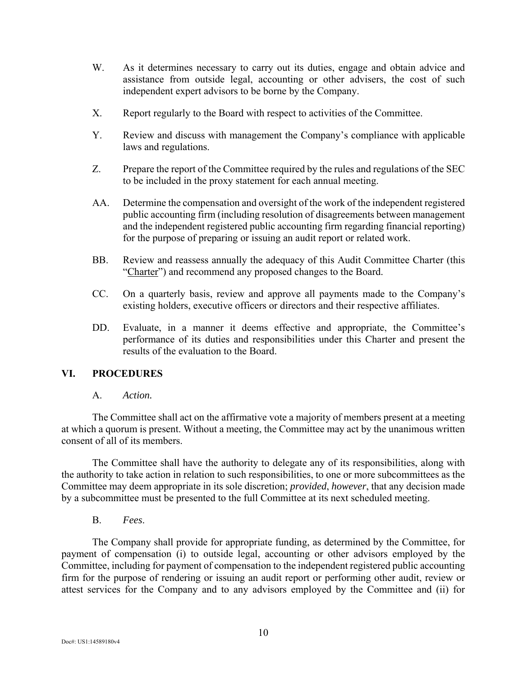- W. As it determines necessary to carry out its duties, engage and obtain advice and assistance from outside legal, accounting or other advisers, the cost of such independent expert advisors to be borne by the Company.
- X. Report regularly to the Board with respect to activities of the Committee.
- Y. Review and discuss with management the Company's compliance with applicable laws and regulations.
- Z. Prepare the report of the Committee required by the rules and regulations of the SEC to be included in the proxy statement for each annual meeting.
- AA. Determine the compensation and oversight of the work of the independent registered public accounting firm (including resolution of disagreements between management and the independent registered public accounting firm regarding financial reporting) for the purpose of preparing or issuing an audit report or related work.
- BB. Review and reassess annually the adequacy of this Audit Committee Charter (this "Charter") and recommend any proposed changes to the Board.
- CC. On a quarterly basis, review and approve all payments made to the Company's existing holders, executive officers or directors and their respective affiliates.
- DD. Evaluate, in a manner it deems effective and appropriate, the Committee's performance of its duties and responsibilities under this Charter and present the results of the evaluation to the Board.

## **VI. PROCEDURES**

## A. *Action.*

The Committee shall act on the affirmative vote a majority of members present at a meeting at which a quorum is present. Without a meeting, the Committee may act by the unanimous written consent of all of its members.

The Committee shall have the authority to delegate any of its responsibilities, along with the authority to take action in relation to such responsibilities, to one or more subcommittees as the Committee may deem appropriate in its sole discretion; *provided*, *however*, that any decision made by a subcommittee must be presented to the full Committee at its next scheduled meeting.

B. *Fees*.

The Company shall provide for appropriate funding, as determined by the Committee, for payment of compensation (i) to outside legal, accounting or other advisors employed by the Committee, including for payment of compensation to the independent registered public accounting firm for the purpose of rendering or issuing an audit report or performing other audit, review or attest services for the Company and to any advisors employed by the Committee and (ii) for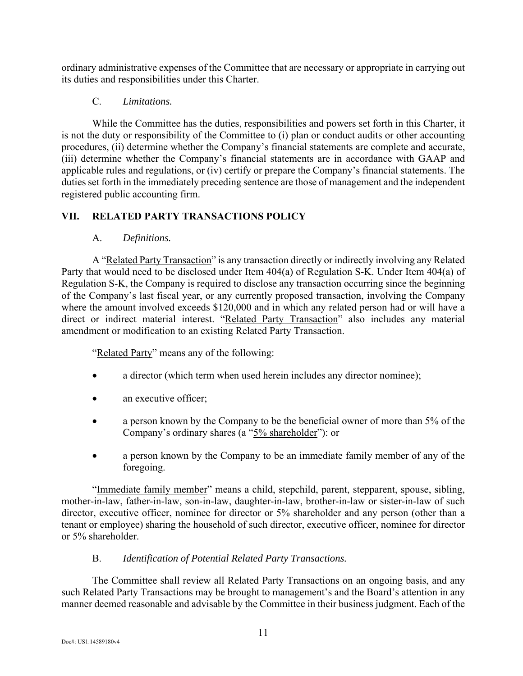ordinary administrative expenses of the Committee that are necessary or appropriate in carrying out its duties and responsibilities under this Charter.

# C. *Limitations.*

While the Committee has the duties, responsibilities and powers set forth in this Charter, it is not the duty or responsibility of the Committee to (i) plan or conduct audits or other accounting procedures, (ii) determine whether the Company's financial statements are complete and accurate, (iii) determine whether the Company's financial statements are in accordance with GAAP and applicable rules and regulations, or (iv) certify or prepare the Company's financial statements. The duties set forth in the immediately preceding sentence are those of management and the independent registered public accounting firm.

# **VII. RELATED PARTY TRANSACTIONS POLICY**

# A. *Definitions.*

A "Related Party Transaction" is any transaction directly or indirectly involving any Related Party that would need to be disclosed under Item 404(a) of Regulation S-K. Under Item 404(a) of Regulation S-K, the Company is required to disclose any transaction occurring since the beginning of the Company's last fiscal year, or any currently proposed transaction, involving the Company where the amount involved exceeds \$120,000 and in which any related person had or will have a direct or indirect material interest. "Related Party Transaction" also includes any material amendment or modification to an existing Related Party Transaction.

"Related Party" means any of the following:

- a director (which term when used herein includes any director nominee);
- an executive officer;
- a person known by the Company to be the beneficial owner of more than 5% of the Company's ordinary shares (a "5% shareholder"): or
- a person known by the Company to be an immediate family member of any of the foregoing.

"Immediate family member" means a child, stepchild, parent, stepparent, spouse, sibling, mother-in-law, father-in-law, son-in-law, daughter-in-law, brother-in-law or sister-in-law of such director, executive officer, nominee for director or 5% shareholder and any person (other than a tenant or employee) sharing the household of such director, executive officer, nominee for director or 5% shareholder.

# B. *Identification of Potential Related Party Transactions.*

The Committee shall review all Related Party Transactions on an ongoing basis, and any such Related Party Transactions may be brought to management's and the Board's attention in any manner deemed reasonable and advisable by the Committee in their business judgment. Each of the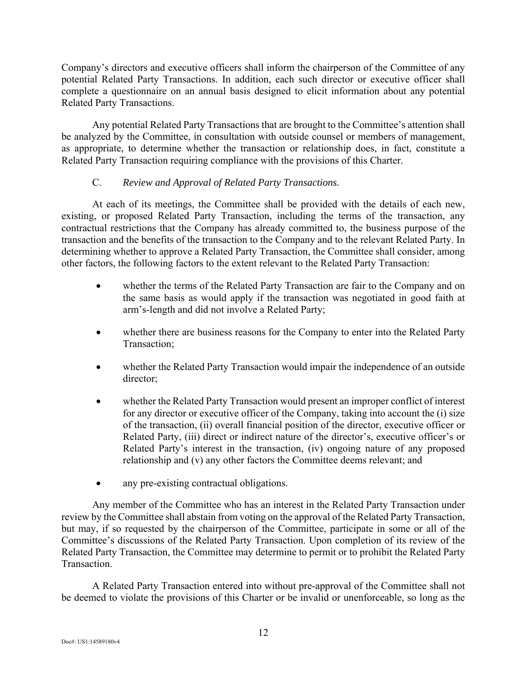Company's directors and executive officers shall inform the chairperson of the Committee of any potential Related Party Transactions. In addition, each such director or executive officer shall complete a questionnaire on an annual basis designed to elicit information about any potential Related Party Transactions.

Any potential Related Party Transactions that are brought to the Committee's attention shall be analyzed by the Committee, in consultation with outside counsel or members of management, as appropriate, to determine whether the transaction or relationship does, in fact, constitute a Related Party Transaction requiring compliance with the provisions of this Charter.

## C. *Review and Approval of Related Party Transactions.*

At each of its meetings, the Committee shall be provided with the details of each new, existing, or proposed Related Party Transaction, including the terms of the transaction, any contractual restrictions that the Company has already committed to, the business purpose of the transaction and the benefits of the transaction to the Company and to the relevant Related Party. In determining whether to approve a Related Party Transaction, the Committee shall consider, among other factors, the following factors to the extent relevant to the Related Party Transaction:

- whether the terms of the Related Party Transaction are fair to the Company and on the same basis as would apply if the transaction was negotiated in good faith at arm's-length and did not involve a Related Party;
- whether there are business reasons for the Company to enter into the Related Party Transaction;
- whether the Related Party Transaction would impair the independence of an outside director;
- whether the Related Party Transaction would present an improper conflict of interest for any director or executive officer of the Company, taking into account the (i) size of the transaction, (ii) overall financial position of the director, executive officer or Related Party, (iii) direct or indirect nature of the director's, executive officer's or Related Party's interest in the transaction, (iv) ongoing nature of any proposed relationship and (v) any other factors the Committee deems relevant; and
- any pre-existing contractual obligations.

Any member of the Committee who has an interest in the Related Party Transaction under review by the Committee shall abstain from voting on the approval of the Related Party Transaction, but may, if so requested by the chairperson of the Committee, participate in some or all of the Committee's discussions of the Related Party Transaction. Upon completion of its review of the Related Party Transaction, the Committee may determine to permit or to prohibit the Related Party Transaction.

A Related Party Transaction entered into without pre-approval of the Committee shall not be deemed to violate the provisions of this Charter or be invalid or unenforceable, so long as the